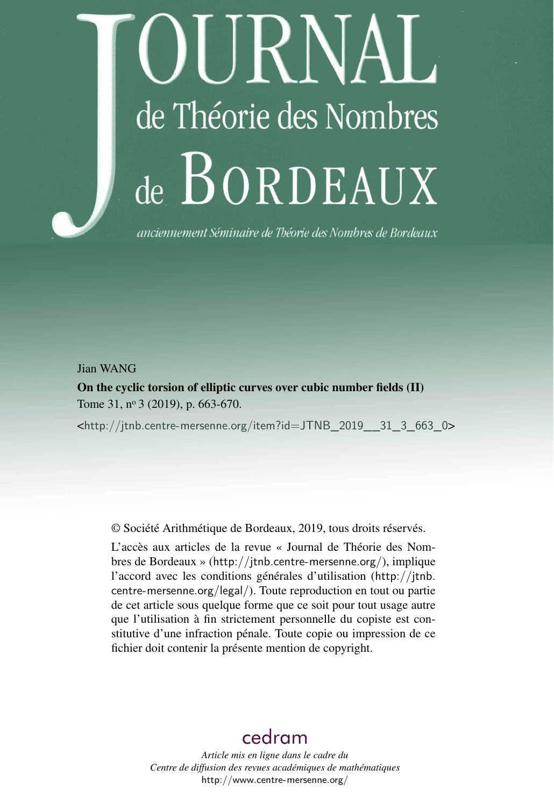# I JRNAI de Théorie des Nombres de BORDEAUX

anciennement Séminaire de Théorie des Nombres de Bordeaux

### Jian WANG

On the cyclic torsion of elliptic curves over cubic number fields (II) Tome 31, nº 3 (2019), p. 663-670.

<[http://jtnb.centre-mersenne.org/item?id=JTNB\\_2019\\_\\_31\\_3\\_663\\_0](http://jtnb.centre-mersenne.org/item?id=JTNB_2019__31_3_663_0)>

© Société Arithmétique de Bordeaux, 2019, tous droits réservés.

L'accès aux articles de la revue « Journal de Théorie des Nombres de Bordeaux » (<http://jtnb.centre-mersenne.org/>), implique l'accord avec les conditions générales d'utilisation ([http://jtnb.](http://jtnb.centre-mersenne.org/legal/) [centre-mersenne.org/legal/](http://jtnb.centre-mersenne.org/legal/)). Toute reproduction en tout ou partie de cet article sous quelque forme que ce soit pour tout usage autre que l'utilisation à fin strictement personnelle du copiste est constitutive d'une infraction pénale. Toute copie ou impression de ce fichier doit contenir la présente mention de copyright.

## [cedram](http://www.centre-mersenne.org/)

*Article mis en ligne dans le cadre du Centre de diffusion des revues académiques de mathématiques* <http://www.centre-mersenne.org/>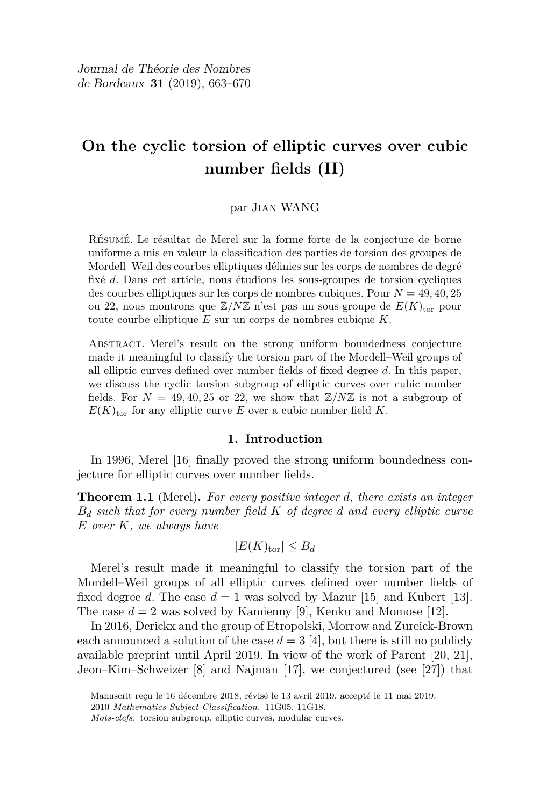## **On the cyclic torsion of elliptic curves over cubic number fields (II)**

#### par Jian WANG

Résumé. Le résultat de Merel sur la forme forte de la conjecture de borne uniforme a mis en valeur la classification des parties de torsion des groupes de Mordell–Weil des courbes elliptiques définies sur les corps de nombres de degré fixé *d*. Dans cet article, nous étudions les sous-groupes de torsion cycliques des courbes elliptiques sur les corps de nombres cubiques. Pour *N* = 49*,* 40*,* 25 ou 22, nous montrons que  $\mathbb{Z}/N\mathbb{Z}$  n'est pas un sous-groupe de  $E(K)_{\text{tor}}$  pour toute courbe elliptique *E* sur un corps de nombres cubique *K*.

Abstract. Merel's result on the strong uniform boundedness conjecture made it meaningful to classify the torsion part of the Mordell–Weil groups of all elliptic curves defined over number fields of fixed degree *d*. In this paper, we discuss the cyclic torsion subgroup of elliptic curves over cubic number fields. For  $N = 49, 40, 25$  or 22, we show that  $\mathbb{Z}/N\mathbb{Z}$  is not a subgroup of  $E(K)_{\text{tor}}$  for any elliptic curve *E* over a cubic number field *K*.

#### **1. Introduction**

In 1996, Merel [\[16\]](#page-8-0) finally proved the strong uniform boundedness conjecture for elliptic curves over number fields.

**Theorem 1.1** (Merel)**.** *For every positive integer d, there exists an integer B<sup>d</sup> such that for every number field K of degree d and every elliptic curve E over K, we always have*

$$
|E(K)_{\text{tor}}| \leq B_d
$$

Merel's result made it meaningful to classify the torsion part of the Mordell–Weil groups of all elliptic curves defined over number fields of fixed degree *d*. The case  $d = 1$  was solved by Mazur [\[15\]](#page-8-1) and Kubert [\[13\]](#page-8-2). The case  $d = 2$  was solved by Kamienny [\[9\]](#page-7-0), Kenku and Momose [\[12\]](#page-8-3).

In 2016, Derickx and the group of Etropolski, Morrow and Zureick-Brown each announced a solution of the case  $d = 3$  [\[4\]](#page-7-1), but there is still no publicly available preprint until April 2019. In view of the work of Parent [\[20,](#page-8-4) [21\]](#page-8-5), Jeon–Kim–Schweizer [\[8\]](#page-7-2) and Najman [\[17\]](#page-8-6), we conjectured (see [\[27\]](#page-8-7)) that

Manuscrit reçu le 16 décembre 2018, révisé le 13 avril 2019, accepté le 11 mai 2019.

<sup>2010</sup> *Mathematics Subject Classification.* 11G05, 11G18.

*Mots-clefs.* torsion subgroup, elliptic curves, modular curves.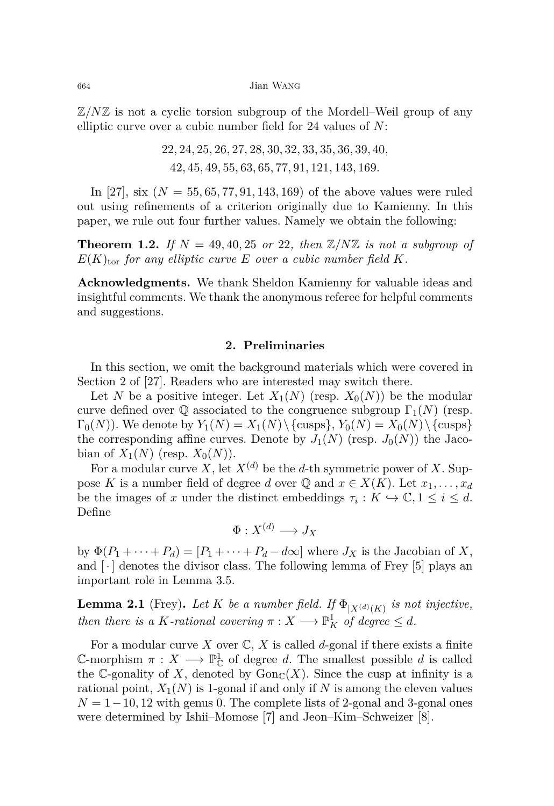Z*/N*Z is not a cyclic torsion subgroup of the Mordell–Weil group of any elliptic curve over a cubic number field for 24 values of *N*:

$$
22, 24, 25, 26, 27, 28, 30, 32, 33, 35, 36, 39, 40, 42, 45, 49, 55, 63, 65, 77, 91, 121, 143, 169.
$$

In [\[27\]](#page-8-7), six (*N* = 55*,* 65*,* 77*,* 91*,* 143*,* 169) of the above values were ruled out using refinements of a criterion originally due to Kamienny. In this paper, we rule out four further values. Namely we obtain the following:

<span id="page-2-1"></span>**Theorem 1.2.** If  $N = 49, 40, 25$  or 22, then  $\mathbb{Z}/N\mathbb{Z}$  is not a subgroup of  $E(K)_{\text{tor}}$  *for any elliptic curve E over a cubic number field K.* 

**Acknowledgments.** We thank Sheldon Kamienny for valuable ideas and insightful comments. We thank the anonymous referee for helpful comments and suggestions.

#### **2. Preliminaries**

In this section, we omit the background materials which were covered in Section 2 of [\[27\]](#page-8-7). Readers who are interested may switch there.

Let *N* be a positive integer. Let  $X_1(N)$  (resp.  $X_0(N)$ ) be the modular curve defined over  $\mathbb Q$  associated to the congruence subgroup  $\Gamma_1(N)$  (resp.  $\Gamma_0(N)$ ). We denote by  $Y_1(N) = X_1(N) \setminus \{\text{cusps}\}, Y_0(N) = X_0(N) \setminus \{\text{cusps}\}$ the corresponding affine curves. Denote by  $J_1(N)$  (resp.  $J_0(N)$ ) the Jacobian of  $X_1(N)$  (resp.  $X_0(N)$ ).

For a modular curve X, let  $X^{(d)}$  be the *d*-th symmetric power of X. Suppose *K* is a number field of degree *d* over  $\mathbb{Q}$  and  $x \in X(K)$ . Let  $x_1, \ldots, x_d$ be the images of *x* under the distinct embeddings  $\tau_i: K \hookrightarrow \mathbb{C}, 1 \leq i \leq d$ . Define

$$
\Phi: X^{(d)} \longrightarrow J_X
$$

by  $\Phi(P_1 + \cdots + P_d) = [P_1 + \cdots + P_d - d\infty]$  where  $J_X$  is the Jacobian of X, and  $\lceil \cdot \rceil$  denotes the divisor class. The following lemma of Frey [\[5\]](#page-7-3) plays an important role in Lemma [3.5.](#page-6-0)

<span id="page-2-0"></span>**Lemma 2.1** (Frey). Let  $K$  be a number field. If  $\Phi_{|X^{(d)}(K)}$  is not injective, *then there is a K*-rational covering  $\pi : X \longrightarrow \mathbb{P}^1_K$  of degree  $\leq d$ *.* 

For a modular curve *X* over  $\mathbb{C}$ , *X* is called *d*-gonal if there exists a finite C-morphism  $\pi : X \longrightarrow \mathbb{P}^1_{\mathbb{C}}$  of degree *d*. The smallest possible *d* is called the C-gonality of X, denoted by  $Gon_{\mathbb{C}}(X)$ . Since the cusp at infinity is a rational point,  $X_1(N)$  is 1-gonal if and only if N is among the eleven values  $N = 1-10, 12$  with genus 0. The complete lists of 2-gonal and 3-gonal ones were determined by Ishii–Momose [\[7\]](#page-7-4) and Jeon–Kim–Schweizer [\[8\]](#page-7-2).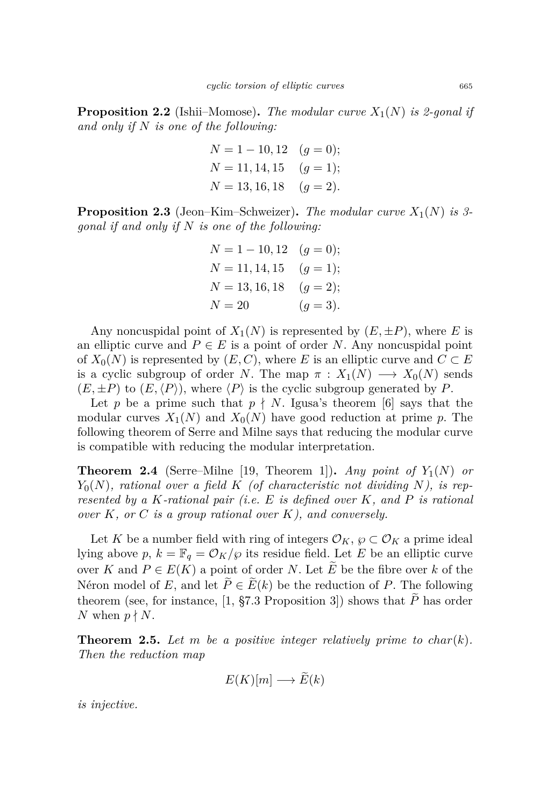<span id="page-3-0"></span>**Proposition 2.2** (Ishii–Momose)**.** *The modular curve X*1(*N*) *is 2-gonal if and only if N is one of the following:*

$$
N = 1 - 10, 12 \quad (g = 0);
$$
  
\n
$$
N = 11, 14, 15 \quad (g = 1);
$$
  
\n
$$
N = 13, 16, 18 \quad (g = 2).
$$

<span id="page-3-1"></span>**Proposition 2.3** (Jeon–Kim–Schweizer)**.** *The modular curve X*1(*N*) *is 3 gonal if and only if N is one of the following:*

$$
N = 1 - 10, 12 \t(g = 0);
$$
  
\n
$$
N = 11, 14, 15 \t(g = 1);
$$
  
\n
$$
N = 13, 16, 18 \t(g = 2);
$$
  
\n
$$
N = 20 \t(g = 3).
$$

Any noncuspidal point of  $X_1(N)$  is represented by  $(E, \pm P)$ , where *E* is an elliptic curve and  $P \in E$  is a point of order *N*. Any noncuspidal point of  $X_0(N)$  is represented by  $(E, C)$ , where *E* is an elliptic curve and  $C \subset E$ is a cyclic subgroup of order *N*. The map  $\pi$  :  $X_1(N) \longrightarrow X_0(N)$  sends  $(E, \pm P)$  to  $(E, \langle P \rangle)$ , where  $\langle P \rangle$  is the cyclic subgroup generated by *P*.

Let p be a prime such that  $p \nmid N$ . Igusa's theorem [\[6\]](#page-7-5) says that the modular curves  $X_1(N)$  and  $X_0(N)$  have good reduction at prime p. The following theorem of Serre and Milne says that reducing the modular curve is compatible with reducing the modular interpretation.

**Theorem 2.4** (Serre–Milne [\[19,](#page-8-8) Theorem 1]). *Any point of*  $Y_1(N)$  *or*  $Y_0(N)$ , rational over a field K (of characteristic not dividing N), is rep*resented by a K-rational pair (i.e. E is defined over K, and P is rational over K, or C is a group rational over K), and conversely.*

Let *K* be a number field with ring of integers  $\mathcal{O}_K$ ,  $\wp \subset \mathcal{O}_K$  a prime ideal lying above  $p, k = \mathbb{F}_q = \mathcal{O}_K/\wp$  its residue field. Let *E* be an elliptic curve over *K* and  $P \in E(K)$  a point of order *N*. Let  $\tilde{E}$  be the fibre over *k* of the Néron model of *E*, and let  $\widetilde{P} \in \widetilde{E}(k)$  be the reduction of *P*. The following theorem (see, for instance, [\[1,](#page-7-6) §7.3 Proposition 3]) shows that  $\widetilde{P}$  has order *N* when  $p \nmid N$ .

<span id="page-3-2"></span>**Theorem 2.5.** Let  $m$  be a positive integer relatively prime to  $char(k)$ . *Then the reduction map*

$$
E(K)[m] \longrightarrow E(k)
$$

*is injective.*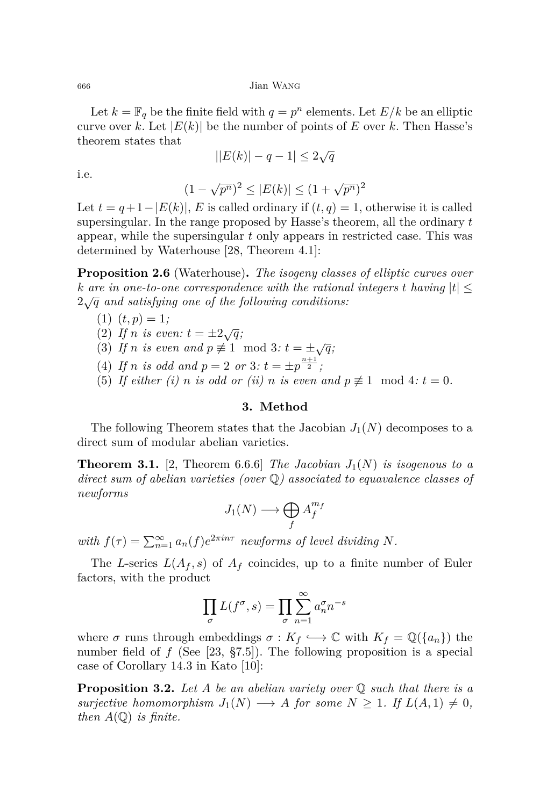<sup>666</sup> Jian Wang

Let  $k = \mathbb{F}_q$  be the finite field with  $q = p^n$  elements. Let  $E/k$  be an elliptic curve over *k*. Let  $|E(k)|$  be the number of points of *E* over *k*. Then Hasse's theorem states that

$$
||E(k)| - q - 1| \le 2\sqrt{q}
$$

i.e.

$$
(1 - \sqrt{p^n})^2 \le |E(k)| \le (1 + \sqrt{p^n})^2
$$

Let  $t = q+1-|E(k)|$ , *E* is called ordinary if  $(t,q) = 1$ , otherwise it is called supersingular. In the range proposed by Hasse's theorem, all the ordinary *t* appear, while the supersingular *t* only appears in restricted case. This was determined by Waterhouse [\[28,](#page-8-9) Theorem 4.1]:

<span id="page-4-0"></span>**Proposition 2.6** (Waterhouse)**.** *The isogeny classes of elliptic curves over k* are in one-to-one correspondence with the rational integers  $t$  having  $|t| \leq$ 2 <sup>√</sup>*<sup>q</sup> and satisfying one of the following conditions:*

- $(1)$   $(t, p) = 1;$
- (2) If *n* is even:  $t = \pm 2\sqrt{q}$ ;
- (3) If *n* is even and  $p \neq 1 \mod 3$ :  $t = \pm \sqrt{q}$ ;
- (4) If *n* is odd and  $p = 2$  or  $3$ :  $t = \pm p^{\frac{n+1}{2}}$ ;
- (5) If either (i) *n* is odd or (ii) *n* is even and  $p \not\equiv 1 \mod 4$ :  $t = 0$ .

#### **3. Method**

The following Theorem states that the Jacobian  $J_1(N)$  decomposes to a direct sum of modular abelian varieties.

**Theorem 3.1.** [\[2,](#page-7-7) Theorem 6.6.6] *The Jacobian*  $J_1(N)$  *is isogenous to a direct sum of abelian varieties (over* Q*) associated to equavalence classes of newforms*

$$
J_1(N) \longrightarrow \bigoplus_f A_f^{m_f}
$$

*with*  $f(\tau) = \sum_{n=1}^{\infty} a_n(f) e^{2\pi i n \tau}$  *newforms of level dividing N.* 

The *L*-series  $L(A_f, s)$  of  $A_f$  coincides, up to a finite number of Euler factors, with the product

$$
\prod_{\sigma} L(f^{\sigma}, s) = \prod_{\sigma} \sum_{n=1}^{\infty} a_n^{\sigma} n^{-s}
$$

where  $\sigma$  runs through embeddings  $\sigma: K_f \hookrightarrow \mathbb{C}$  with  $K_f = \mathbb{Q}(\{a_n\})$  the number field of *f* (See [\[23,](#page-8-10) §7.5]). The following proposition is a special case of Corollary 14.3 in Kato [\[10\]](#page-8-11):

**Proposition 3.2.** *Let A be an abelian variety over* Q *such that there is a surjective homomorphism*  $J_1(N) \longrightarrow A$  *for some*  $N \geq 1$ *. If*  $L(A,1) \neq 0$ *, then*  $A(\mathbb{Q})$  *is finite.*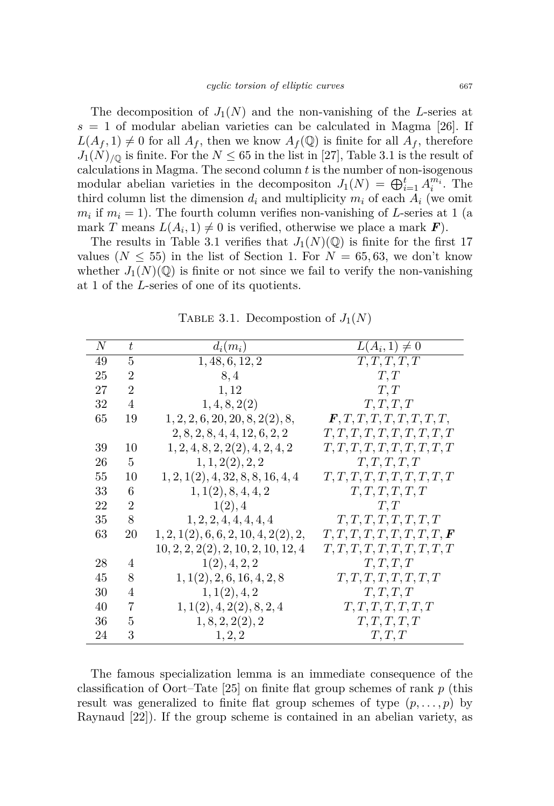The decomposition of  $J_1(N)$  and the non-vanishing of the *L*-series at  $s = 1$  of modular abelian varieties can be calculated in Magma [\[26\]](#page-8-12). If  $L(A_f, 1) \neq 0$  for all  $A_f$ , then we know  $A_f(\mathbb{Q})$  is finite for all  $A_f$ , therefore  $J_1(N)_{\text{/}^{\text{}}\mathbb{Q}}$  is finite. For the  $N \leq 65$  in the list in [\[27\]](#page-8-7), Table [3.1](#page-5-0) is the result of calculations in Magma. The second column *t* is the number of non-isogenous modular abelian varieties in the decompositon  $J_1(N) = \bigoplus_{i=1}^t A_i^{m_i}$ . The third column list the dimension  $d_i$  and multiplicity  $m_i$  of each  $A_i$  (we omit  $m_i$  if  $m_i = 1$ ). The fourth column verifies non-vanishing of *L*-series at 1 (a mark *T* means  $L(A_i, 1) \neq 0$  is verified, otherwise we place a mark *F*).

The results in Table [3.1](#page-5-0) verifies that  $J_1(N)(\mathbb{Q})$  is finite for the first 17 values  $(N \leq 55)$  in the list of Section 1. For  $N = 65, 63$ , we don't know whether  $J_1(N)(\mathbb{Q})$  is finite or not since we fail to verify the non-vanishing at 1 of the *L*-series of one of its quotients.

| N  | t              | $d_i(m_i)$                           | $L(A_i, 1) \neq 0$                           |
|----|----------------|--------------------------------------|----------------------------------------------|
| 49 | 5              | 1, 48, 6, 12, 2                      | T, T, T, T, T                                |
| 25 | $\overline{2}$ | 8,4                                  | T, T                                         |
| 27 | $\overline{2}$ | 1,12                                 | T, T                                         |
| 32 | $\overline{4}$ | 1, 4, 8, 2(2)                        | T, T, T, T                                   |
| 65 | 19             | 1, 2, 2, 6, 20, 20, 8, 2(2), 8,      | $\boldsymbol{F}, T, T, T, T, T, T, T, T, T,$ |
|    |                | 2, 8, 2, 8, 4, 4, 12, 6, 2, 2        | T, T, T, T, T, T, T, T, T, T, T              |
| 39 | 10             | 1, 2, 4, 8, 2, 2(2), 4, 2, 4, 2      | T, T, T, T, T, T, T, T, T, T, T              |
| 26 | 5              | 1, 1, 2(2), 2, 2                     | T, T, T, T, T                                |
| 55 | 10             | 1, 2, 1(2), 4, 32, 8, 8, 16, 4, 4    | T, T, T, T, T, T, T, T, T, T, T              |
| 33 | 6              | 1, 1(2), 8, 4, 4, 2                  | T, T, T, T, T, T                             |
| 22 | $\overline{2}$ | 1(2), 4                              | T, T                                         |
| 35 | 8              | 1, 2, 2, 4, 4, 4, 4, 4               | T, T, T, T, T, T, T, T                       |
| 63 | 20             | 1, 2, 1(2), 6, 6, 2, 10, 4, 2(2), 2, | T, T, T, T, T, T, T, T, T, F                 |
|    |                | 10, 2, 2, 2(2), 2, 10, 2, 10, 12, 4  | T, T, T, T, T, T, T, T, T, T, T              |
| 28 | 4              | 1(2), 4, 2, 2                        | T, T, T, T                                   |
| 45 | 8              | 1, 1(2), 2, 6, 16, 4, 2, 8           | T, T, T, T, T, T, T, T                       |
| 30 | 4              | 1, 1(2), 4, 2                        | T, T, T, T                                   |
| 40 | 7              | 1, 1(2), 4, 2(2), 8, 2, 4            | T, T, T, T, T, T, T                          |
| 36 | 5              | 1, 8, 2, 2(2), 2                     | T, T, T, T, T                                |
| 24 | 3              | 1, 2, 2                              | T, T, T                                      |

<span id="page-5-0"></span>TABLE 3.1. Decompostion of  $J_1(N)$ 

The famous specialization lemma is an immediate consequence of the classification of Oort–Tate [\[25\]](#page-8-13) on finite flat group schemes of rank *p* (this result was generalized to finite flat group schemes of type  $(p, \ldots, p)$  by Raynaud [\[22\]](#page-8-14)). If the group scheme is contained in an abelian variety, as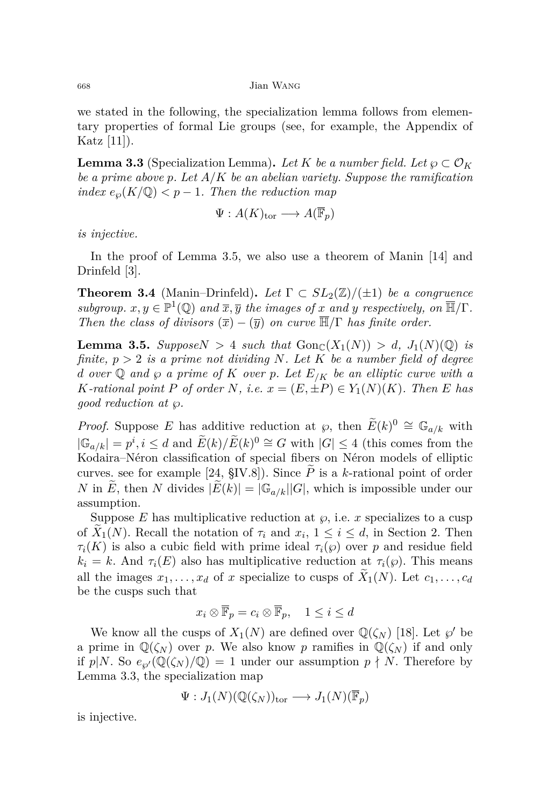we stated in the following, the specialization lemma follows from elementary properties of formal Lie groups (see, for example, the Appendix of Katz [\[11\]](#page-8-15)).

<span id="page-6-1"></span>**Lemma 3.3** (Specialization Lemma). Let K be a number field. Let  $\wp \subset \mathcal{O}_K$ *be a prime above p. Let A/K be an abelian variety. Suppose the ramification index*  $e_{\varphi}(K/\mathbb{Q}) < p-1$ *. Then the reduction map* 

$$
\Psi: A(K)_{\text{tor}} \longrightarrow A(\overline{\mathbb{F}}_p)
$$

*is injective.*

In the proof of Lemma [3.5,](#page-6-0) we also use a theorem of Manin [\[14\]](#page-8-16) and Drinfeld [\[3\]](#page-7-8).

<span id="page-6-2"></span>**Theorem 3.4** (Manin–Drinfeld). Let  $\Gamma \subset SL_2(\mathbb{Z})/(\pm 1)$  be a congruence *subgroup.*  $x, y \in \mathbb{P}^1(\mathbb{Q})$  *and*  $\overline{x}, \overline{y}$  *the images of x and y respectively, on*  $\overline{\mathbb{H}}/\Gamma$ *. Then the class of divisors*  $(\overline{x}) - (\overline{y})$  *on curve*  $\overline{\mathbb{H}}/\Gamma$  *has finite order.* 

<span id="page-6-0"></span>**Lemma 3.5.** *SupposeN* > 4 *such that*  $\text{Gon}_{\mathbb{C}}(X_1(N)) > d$ ,  $J_1(N)(\mathbb{Q})$  *is finite, p >* 2 *is a prime not dividing N. Let K be a number field of degree d over*  $\mathbb Q$  *and*  $\wp$  *a prime of*  $K$  *over*  $p$ *. Let*  $E_{/K}$  *be an elliptic curve with a K*-rational point *P* of order *N,* i.e.  $x = (E, \pm P) \in Y_1(N)(K)$ . Then *E* has *good reduction at ℘.*

*Proof.* Suppose *E* has additive reduction at  $\wp$ , then  $\widetilde{E}(k)^0 \cong \mathbb{G}_{a/k}$  with  $|\mathbb{G}_{a/k}| = p^i, i \leq d$  and  $E(k)/E(k)^0 ≅ G$  with  $|G| ≤ 4$  (this comes from the Kodaira–Néron classification of special fibers on Néron models of elliptic curves. see for example [\[24,](#page-8-17)  $\S$ IV.8]). Since  $\tilde{P}$  is a *k*-rational point of order *N* in  $\widetilde{E}$ , then *N* divides  $|\widetilde{E}(k)| = |\mathbb{G}_{a/k}||G|$ , which is impossible under our assumption.

Suppose  $E$  has multiplicative reduction at  $\varphi$ , i.e. *x* specializes to a cusp of  $X_1(N)$ . Recall the notation of  $\tau_i$  and  $x_i$ ,  $1 \leq i \leq d$ , in Section 2. Then  $\tau_i(K)$  is also a cubic field with prime ideal  $\tau_i(\varphi)$  over *p* and residue field  $k_i = k$ . And  $\tau_i(E)$  also has multiplicative reduction at  $\tau_i(\varphi)$ . This means all the images  $x_1, \ldots, x_d$  of *x* specialize to cusps of  $X_1(N)$ . Let  $c_1, \ldots, c_d$ be the cusps such that

$$
x_i \otimes \overline{\mathbb{F}}_p = c_i \otimes \overline{\mathbb{F}}_p, \quad 1 \leq i \leq d
$$

We know all the cusps of  $X_1(N)$  are defined over  $\mathbb{Q}(\zeta_N)$  [\[18\]](#page-8-18). Let  $\wp'$  be a prime in  $\mathbb{Q}(\zeta_N)$  over *p*. We also know *p* ramifies in  $\mathbb{Q}(\zeta_N)$  if and only if  $p|N$ . So  $e_{\varphi}(\mathbb{Q}(\zeta_N)/\mathbb{Q}) = 1$  under our assumption  $p \nmid N$ . Therefore by Lemma [3.3,](#page-6-1) the specialization map

$$
\Psi: J_1(N)(\mathbb{Q}(\zeta_N))_{\mathrm{tor}} \longrightarrow J_1(N)(\overline{\mathbb{F}}_p)
$$

is injective.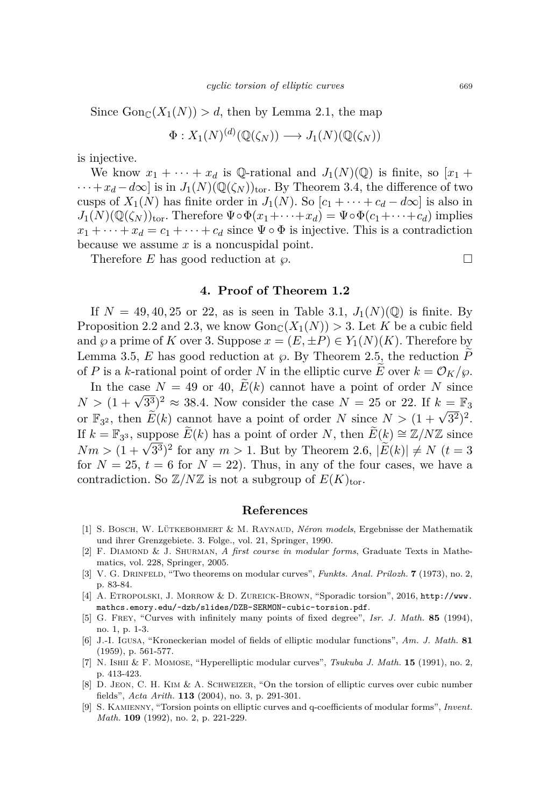Since  $\text{Gon}_{\mathbb{C}}(X_1(N)) > d$ , then by Lemma [2.1,](#page-2-0) the map

$$
\Phi: X_1(N)^{(d)}(\mathbb{Q}(\zeta_N)) \longrightarrow J_1(N)(\mathbb{Q}(\zeta_N))
$$

is injective.

We know  $x_1 + \cdots + x_d$  is Q-rational and  $J_1(N)(\mathbb{Q})$  is finite, so  $[x_1 +$  $\cdots + x_d - d\infty$  is in  $J_1(N)(\mathbb{Q}(\zeta_N))_{\text{tor}}$ . By Theorem [3.4,](#page-6-2) the difference of two cusps of  $X_1(N)$  has finite order in  $J_1(N)$ . So  $[c_1 + \cdots + c_d - d\infty]$  is also in  $J_1(N)(\mathbb{Q}(\zeta_N))_{\text{tor}}$ . Therefore  $\Psi \circ \Phi(x_1 + \cdots + x_d) = \Psi \circ \Phi(c_1 + \cdots + c_d)$  implies  $x_1 + \cdots + x_d = c_1 + \cdots + c_d$  since  $\Psi \circ \Phi$  is injective. This is a contradiction because we assume *x* is a noncuspidal point.

Therefore *E* has good reduction at *℘*.

#### **4. Proof of Theorem [1.2](#page-2-1)**

If  $N = 49, 40, 25$  or 22, as is seen in Table [3.1,](#page-5-0)  $J_1(N)(\mathbb{Q})$  is finite. By Proposition [2.2](#page-3-0) and [2.3,](#page-3-1) we know  $Gon_{\mathbb{C}}(X_1(N)) > 3$ . Let K be a cubic field and  $\wp$  a prime of *K* over 3. Suppose  $x = (E, \pm P) \in Y_1(N)(K)$ . Therefore by Lemma [3.5,](#page-6-0)  $E$  has good reduction at  $\varphi$ . By Theorem [2.5,](#page-3-2) the reduction  $P$ of *P* is a *k*-rational point of order *N* in the elliptic curve  $\hat{E}$  over  $k = \mathcal{O}_K/\wp$ .

In the case  $N = 49$  or 40,  $E(k)$  cannot have a point of order N since In the case  $N = 49$  or  $40$ ,  $E(k)$  cannot have a point of order *N* since  $N > (1 + \sqrt{3^3})^2 \approx 38.4$ . Now consider the case  $N = 25$  or 22. If  $k = \mathbb{F}_3$ or  $\mathbb{F}_{3^2}$ , then  $\widetilde{E}(k)$  cannot have a point of order *N* since  $N > (1 + \sqrt{3^2})^2$ . If  $k = \mathbb{F}_{3^3}$ , suppose  $\widetilde{E}(k)$  has a point of order *N*, then  $\widetilde{E}(k) \cong \mathbb{Z}/N\mathbb{Z}$  since  $X_m = \mathbb{F}_3$ , suppose  $E(\kappa)$  has a point of order *N*, then  $E(\kappa) = \mathbb{Z}/N\mathbb{Z}$  since  $Nm > (1 + \sqrt{3^3})^2$  for any  $m > 1$ . But by Theorem [2.6,](#page-4-0)  $|\widetilde{E}(k)| \neq N$  ( $t = 3$ ) for  $N = 25$ ,  $t = 6$  for  $N = 22$ ). Thus, in any of the four cases, we have a contradiction. So  $\mathbb{Z}/N\mathbb{Z}$  is not a subgroup of  $E(K)_{\text{tor}}$ .

#### **References**

- <span id="page-7-6"></span>[1] S. Bosch, W. Lütkebohmert & M. Raynaud, *Néron models*, Ergebnisse der Mathematik und ihrer Grenzgebiete. 3. Folge., vol. 21, Springer, 1990.
- <span id="page-7-7"></span>[2] F. Diamond & J. Shurman, *A first course in modular forms*, Graduate Texts in Mathematics, vol. 228, Springer, 2005.
- <span id="page-7-8"></span>[3] V. G. Drinfeld, "Two theorems on modular curves", *Funkts. Anal. Prilozh.* **7** (1973), no. 2, p. 83-84.
- <span id="page-7-1"></span>[4] A. ETROPOLSKI, J. MORROW & D. ZUREICK-BROWN, "Sporadic torsion", 2016, [http://www.](http://www.mathcs.emory.edu/~dzb/slides/DZB-SERMON-cubic-torsion.pdf) [mathcs.emory.edu/~dzb/slides/DZB-SERMON-cubic-torsion.pdf](http://www.mathcs.emory.edu/~dzb/slides/DZB-SERMON-cubic-torsion.pdf).
- <span id="page-7-3"></span>[5] G. Frey, "Curves with infinitely many points of fixed degree", *Isr. J. Math.* **85** (1994), no. 1, p. 1-3.
- <span id="page-7-5"></span>[6] J.-I. Igusa, "Kroneckerian model of fields of elliptic modular functions", *Am. J. Math.* **81** (1959), p. 561-577.
- <span id="page-7-4"></span>[7] N. Ishii & F. Momose, "Hyperelliptic modular curves", *Tsukuba J. Math.* **15** (1991), no. 2, p. 413-423.
- <span id="page-7-2"></span>[8] D. Jeon, C. H. Kim & A. Schweizer, "On the torsion of elliptic curves over cubic number fields", *Acta Arith.* **113** (2004), no. 3, p. 291-301.
- <span id="page-7-0"></span>[9] S. Kamienny, "Torsion points on elliptic curves and q-coefficients of modular forms", *Invent. Math.* **109** (1992), no. 2, p. 221-229.